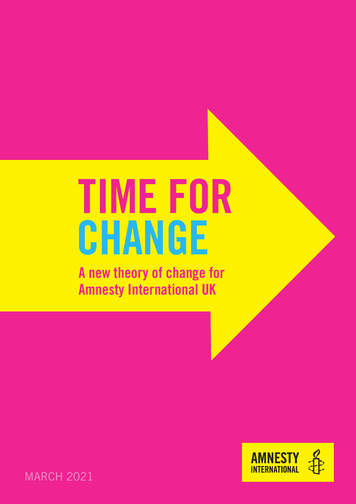# TIME FOR CHANGE

A new theory of change for Amnesty International UK



**MARCH 2021**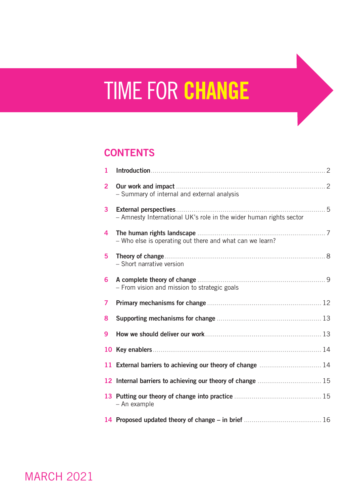# **TIME FOR CHANGE**

# **CONTENTS**

| 1              |                                                                    |  |
|----------------|--------------------------------------------------------------------|--|
| $\overline{2}$ | - Summary of internal and external analysis                        |  |
| $\overline{3}$ | - Amnesty International UK's role in the wider human rights sector |  |
| 4              | - Who else is operating out there and what can we learn?           |  |
| 5              | - Short narrative version                                          |  |
| 6              | - From vision and mission to strategic goals                       |  |
| 7              |                                                                    |  |
| 8              |                                                                    |  |
| 9              |                                                                    |  |
|                |                                                                    |  |
|                | 11 External barriers to achieving our theory of change  14         |  |
|                | 12 Internal barriers to achieving our theory of change  15         |  |
|                | - An example                                                       |  |
|                |                                                                    |  |

**MARCH 2021**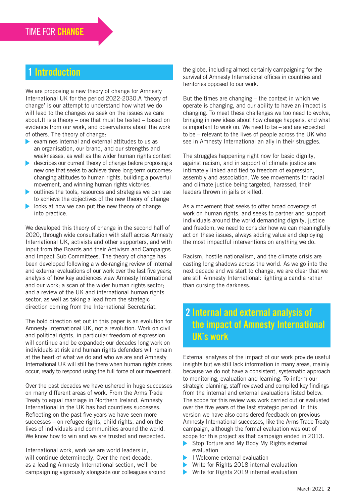# **Introduction**

We are proposing a new theory of change for Amnesty International UK for the period 2022-2030.A 'theory of change' is our attempt to understand how what we do will lead to the changes we seek on the issues we care about.It is a theory – one that must be tested – based on evidence from our work, and observations about the work of others. The theory of change:

- $\triangleright$  examines internal and external attitudes to us as an organisation, our brand, and our strengths and weaknesses, as well as the wider human rights context
- describes our current theory of change before proposing a new one that seeks to achieve three long-term outcomes: changing attitudes to human rights, building a powerful movement, and winning human rights victories.
- $\triangleright$  outlines the tools, resources and strategies we can use to achieve the objectives of the new theory of change
- looks at how we can put the new theory of change into practice.

We developed this theory of change in the second half of 2020, through wide consultation with staff across Amnesty International UK, activists and other supporters, and with input from the Boards and their Activism and Campaigns and Impact Sub Committees. The theory of change has been developed following a wide-ranging review of internal and external evaluations of our work over the last five years; analysis of how key audiences view Amnesty International and our work; a scan of the wider human rights sector; and a review of the UK and international human rights sector, as well as taking a lead from the strategic direction coming from the International Secretariat.

The bold direction set out in this paper is an evolution for Amnesty International UK, not a revolution. Work on civil and political rights, in particular freedom of expression will continue and be expanded; our decades long work on individuals at risk and human rights defenders will remain at the heart of what we do and who we are and Amnesty International UK will still be there when human rights crises occur, ready to respond using the full force of our movement.

Over the past decades we have ushered in huge successes on many different areas of work. From the Arms Trade Treaty to equal marriage in Northern Ireland, Amnesty International in the UK has had countless successes. Reflecting on the past five years we have seen more successes – on refugee rights, child rights, and on the lives of individuals and communities around the world. We know how to win and we are trusted and respected.

International work, work we are world leaders in, will continue determinedly. Over the next decade, as a leading Amnesty International section, we'll be campaigning vigorously alongside our colleagues around the globe, including almost certainly campaigning for the survival of Amnesty International offices in countries and territories opposed to our work.

But the times are changing – the context in which we operate is changing, and our ability to have an impact is changing. To meet these challenges we too need to evolve, bringing in new ideas about how change happens, and what is important to work on. We need to be – and are expected to be – relevant to the lives of people across the UK who see in Amnesty International an ally in their struggles.

The struggles happening right now for basic dignity, against racism, and in support of climate justice are intimately linked and tied to freedom of expression, assembly and association. We see movements for racial and climate justice being targeted, harassed, their leaders thrown in jails or killed.

As a movement that seeks to offer broad coverage of work on human rights, and seeks to partner and support individuals around the world demanding dignity, justice and freedom, we need to consider how we can meaningfully act on these issues, always adding value and deploying the most impactful interventions on anything we do.

Racism, hostile nationalism, and the climate crisis are casting long shadows across the world. As we go into the next decade and we start to change, we are clear that we are still Amnesty International: lighting a candle rather than cursing the darkness.

# 2 Internal and external analysis of the impact of Amnesty International UK's work

External analyses of the impact of our work provide useful insights but we still lack information in many areas, mainly because we do not have a consistent, systematic approach to monitoring, evaluation and learning. To inform our strategic planning, staff reviewed and compiled key findings from the internal and external evaluations listed below. The scope for this review was work carried out or evaluated over the five years of the last strategic period. In this version we have also considered feedback on previous Amnesty International successes, like the Arms Trade Treaty campaign, although the formal evaluation was out of scope for this project as that campaign ended in 2013.

- $\blacktriangleright$ Stop Torture and My Body My Rights external evaluation
- I Welcome external evaluation
- Write for Rights 2018 internal evaluation
- Write for Rights 2019 internal evaluation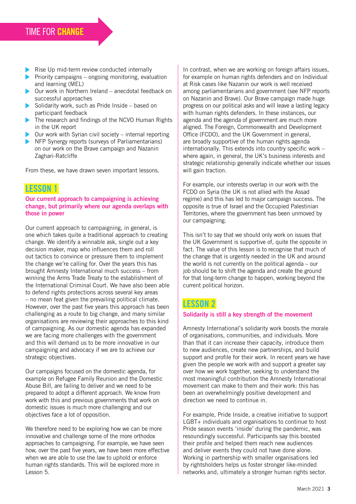# TIME FOR CHANGE

- Rise Up mid-term review conducted internally
- **Priority campaigns ongoing monitoring, evaluation** and learning (MEL)
- $\triangleright$  Our work in Northern Ireland anecdotal feedback on successful approaches
- $\triangleright$  Solidarity work, such as Pride Inside based on participant feedback
- The research and findings of the NCVO Human Rights in the UK report
- $\triangleright$  Our work with Syrian civil society internal reporting
- NFP Synergy reports (surveys of Parliamentarians) on our work on the Brave campaign and Nazanin Zaghari-Ratcliffe

From these, we have drawn seven important lessons.

#### LESSON 1

#### Our current approach to campaigning is achieving change, but primarily where our agenda overlaps with those in power

Our current approach to campaigning, in general, is one which takes quite a traditional approach to creating change. We identify a winnable ask, single out a key decision maker, map who influences them and roll out tactics to convince or pressure them to implement the change we're calling for. Over the years this has brought Amnesty International much success – from winning the Arms Trade Treaty to the establishment of the International Criminal Court. We have also been able to defend rights protections across several key areas – no mean feat given the prevailing political climate. However, over the past five years this approach has been challenging as a route to big change, and many similar organisations are reviewing their approaches to this kind of campaigning. As our domestic agenda has expanded we are facing more challenges with the government and this will demand us to be more innovative in our campaigning and advocacy if we are to achieve our strategic objectives.

Our campaigns focused on the domestic agenda, for example on Refugee Family Reunion and the Domestic Abuse Bill, are failing to deliver and we need to be prepared to adopt a different approach. We know from work with this and previous governments that work on domestic issues is much more challenging and our objectives face a lot of opposition.

We therefore need to be exploring how we can be more innovative and challenge some of the more orthodox approaches to campaigning. For example, we have seen how, over the past five years, we have been more effective when we are able to use the law to uphold or enforce human rights standards. This will be explored more in Lesson 5.

In contrast, when we are working on foreign affairs issues, for example on human rights defenders and on Individual at Risk cases like Nazanin our work is well received among parliamentarians and government (see NFP reports on Nazanin and Brave). Our Brave campaign made huge progress on our political asks and will leave a lasting legacy with human rights defenders. In these instances, our agenda and the agenda of government are much more aligned. The Foreign, Commonwealth and Development Office (FCDO), and the UK Government in general, are broadly supportive of the human rights agenda internationally. This extends into country specific work – where again, in general, the UK's business interests and strategic relationship generally indicate whether our issues will gain traction.

For example, our interests overlap in our work with the FCDO on Syria (the UK is not allied with the Assad regime) and this has led to major campaign success. The opposite is true of Israel and the Occupied Palestinian Territories, where the government has been unmoved by our campaigning.

This isn't to say that we should only work on issues that the UK Government is supportive of, quite the opposite in fact. The value of this lesson is to recognise that much of the change that is urgently needed in the UK and around the world is not currently on the political agenda – our job should be to shift the agenda and create the ground for that long-term change to happen, working beyond the current political horizon.

#### LESSON 2

#### Solidarity is still a key strength of the movement

Amnesty International's solidarity work boosts the morale of organisations, communities, and individuals. More than that it can increase their capacity, introduce them to new audiences, create new partnerships, and build support and profile for their work. In recent years we have given the people we work with and support a greater say over how we work together, seeking to understand the most meaningful contribution the Amnesty International movement can make to them and their work: this has been an overwhelmingly positive development and direction we need to continue in.

For example, Pride Inside, a creative initiative to support LGBT+ individuals and organisations to continue to host Pride season events 'inside' during the pandemic, was resoundingly successful. Participants say this boosted their profile and helped them reach new audiences and deliver events they could not have done alone. Working in partnership with smaller organisations led by rightsholders helps us foster stronger like-minded networks and, ultimately a stronger human rights sector.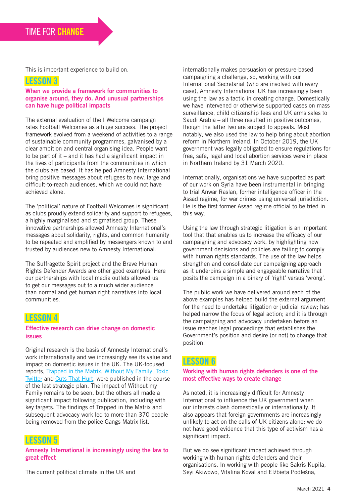This is important experience to build on.

#### LESSON 3

#### When we provide a framework for communities to organise around, they do. And unusual partnerships can have huge political impacts

The external evaluation of the I Welcome campaign rates Football Welcomes as a huge success. The project framework evolved from a weekend of activities to a range of sustainable community programmes, galvanised by a clear ambition and central organising idea. People want to be part of it – and it has had a significant impact in the lives of participants from the communities in which the clubs are based. It has helped Amnesty International bring positive messages about refugees to new, large and difficult-to-reach audiences, which we could not have achieved alone.

The 'political' nature of Football Welcomes is significant as clubs proudly extend solidarity and support to refugees, a highly marginalised and stigmatised group. These innovative partnerships allowed Amnesty International's messages about solidarity, rights, and common humanity to be repeated and amplified by messengers known to and trusted by audiences new to Amnesty International.

The Suffragette Spirit project and the Brave Human Rights Defender Awards are other good examples. Here our partnerships with local media outlets allowed us to get our messages out to a much wider audience than normal and get human right narratives into local communities.

#### LESSON 4

#### Effective research can drive change on domestic issues

Original research is the basis of Amnesty International's work internationally and we increasingly see its value and impact on domestic issues in the UK. The UK-focused reports, [Trapped in the Matrix,](https://www.amnesty.org.uk/files/reports/Trapped%20in%20the%20Matrix%20Amnesty%20report.pdf) [Without My Family,](https://www.amnesty.org.uk/files/2020-02/Without_my_family_report.pdf?bmYG2_9kNYxBEpy2gPZ_VJTU4pWZT7Ay=) [Toxic](https://www.amnesty.org/en/latest/research/2018/03/online-violence-against-women-chapter-1)  [Twitter](https://www.amnesty.org/en/latest/research/2018/03/online-violence-against-women-chapter-1) and [Cuts That Hurt,](https://www.amnesty.org/en/documents/eur45/4936/2016/en/) were published in the course of the last strategic plan. The impact of Without my Family remains to be seen, but the others all made a significant impact following publication, including with key targets. The findings of Trapped in the Matrix and subsequent advocacy work led to more than 370 people being removed from the police Gangs Matrix list.

#### LESSON 5

Amnesty International is increasingly using the law to great effect

The current political climate in the UK and

internationally makes persuasion or pressure-based campaigning a challenge, so, working with our International Secretariat (who are involved with every case), Amnesty International UK has increasingly been using the law as a tactic in creating change. Domestically we have intervened or otherwise supported cases on mass surveillance, child citizenship fees and UK arms sales to Saudi Arabia – all three resulted in positive outcomes, though the latter two are subject to appeals. Most notably, we also used the law to help bring about abortion reform in Northern Ireland. In October 2019, the UK government was legally obligated to ensure regulations for free, safe, legal and local abortion services were in place in Northern Ireland by 31 March 2020.

Internationally, organisations we have supported as part of our work on Syria have been instrumental in bringing to trial Anwar Raslan, former intelligence officer in the Assad regime, for war crimes using universal jurisdiction. He is the first former Assad regime official to be tried in this way.

Using the law through strategic litigation is an important tool that that enables us to increase the efficacy of our campaigning and advocacy work, by highlighting how government decisions and policies are failing to comply with human rights standards. The use of the law helps strengthen and consolidate our campaigning approach as it underpins a simple and engageable narrative that posits the campaign in a binary of 'right' versus 'wrong'.

The public work we have delivered around each of the above examples has helped build the external argument for the need to undertake litigation or judicial review; has helped narrow the focus of legal action; and it is through the campaigning and advocacy undertaken before an issue reaches legal proceedings that establishes the Government's position and desire (or not) to change that position.

#### LESSON 6

#### Working with human rights defenders is one of the most effective ways to create change

As noted, it is increasingly difficult for Amnesty International to influence the UK government when our interests clash domestically or internationally. It also appears that foreign governments are increasingly unlikely to act on the calls of UK citizens alone: we do not have good evidence that this type of activism has a significant impact.

But we do see significant impact achieved through working with human rights defenders and their organisations. In working with people like Sakris Kupila, Seyi Akiwowo, Vitalina Koval and Elżbieta Podleśna,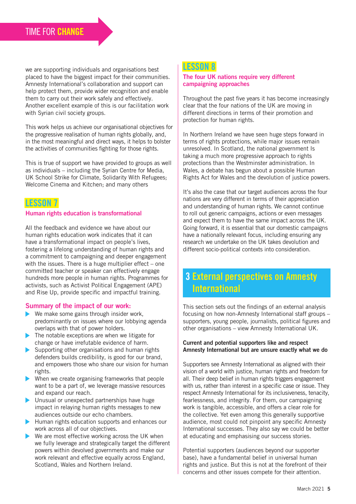we are supporting individuals and organisations best placed to have the biggest impact for their communities. Amnesty International's collaboration and support can help protect them, provide wider recognition and enable them to carry out their work safely and effectively. Another excellent example of this is our facilitation work with Syrian civil society groups.

This work helps us achieve our organisational objectives for the progressive realisation of human rights globally, and, in the most meaningful and direct ways, it helps to bolster the activities of communities fighting for those rights.

This is true of support we have provided to groups as well as individuals – including the Syrian Centre for Media, UK School Strike for Climate, Solidarity With Refugees; Welcome Cinema and Kitchen; and many others

## LESSON 7

#### Human rights education is transformational

All the feedback and evidence we have about our human rights education work indicates that it can have a transformational impact on people's lives, fostering a lifelong understanding of human rights and a commitment to campaigning and deeper engagement with the issues. There is a huge multiplier effect – one committed teacher or speaker can effectively engage hundreds more people in human rights. Programmes for activists, such as Activist Political Engagement (APE) and Rise Up, provide specific and impactful training.

#### Summary of the impact of our work:

- $\blacktriangleright$  We make some gains through insider work, predominantly on issues where our lobbying agenda overlaps with that of power holders.
- $\blacktriangleright$  The notable exceptions are when we litigate for change or have irrefutable evidence of harm.
- Supporting other organisations and human rights defenders builds credibility, is good for our brand, and empowers those who share our vision for human rights.
- When we create organising frameworks that people want to be a part of, we leverage massive resources and expand our reach.
- ▶ Unusual or unexpected partnerships have huge impact in relaying human rights messages to new audiences outside our echo chambers.
- $\blacktriangleright$  Human rights education supports and enhances our work across all of our objectives.
- $\blacktriangleright$  We are most effective working across the UK when we fully leverage and strategically target the different powers within devolved governments and make our work relevant and effective equally across England, Scotland, Wales and Northern Ireland.

#### LESSON 8

#### The four UK nations require very different campaigning approaches

Throughout the past five years it has become increasingly clear that the four nations of the UK are moving in different directions in terms of their promotion and protection for human rights.

In Northern Ireland we have seen huge steps forward in terms of rights protections, while major issues remain unresolved. In Scotland, the national government Is taking a much more progressive approach to rights protections than the Westminster administration. In Wales, a debate has begun about a possible Human Rights Act for Wales and the devolution of justice powers.

It's also the case that our target audiences across the four nations are very different in terms of their appreciation and understanding of human rights. We cannot continue to roll out generic campaigns, actions or even messages and expect them to have the same impact across the UK. Going forward, it is essential that our domestic campaigns have a nationally relevant focus, including ensuring any research we undertake on the UK takes devolution and different socio-political contexts into consideration.

# 3 External perspectives on Amnesty International

This section sets out the findings of an external analysis focusing on how non-Amnesty International staff groups – supporters, young people, journalists, political figures and other organisations – view Amnesty International UK.

#### Current and potential supporters like and respect Amnesty International but are unsure exactly what we do

Supporters see Amnesty International as aligned with their vision of a world with justice, human rights and freedom for all. Their deep belief in human rights triggers engagement with us, rather than interest in a specific case or issue. They respect Amnesty International for its inclusiveness, tenacity, fearlessness, and integrity. For them, our campaigning work is tangible, accessible, and offers a clear role for the collective. Yet even among this generally supportive audience, most could not pinpoint any specific Amnesty International successes. They also say we could be better at educating and emphasising our success stories.

Potential supporters (audiences beyond our supporter base), have a fundamental belief in universal human rights and justice. But this is not at the forefront of their concerns and other issues compete for their attention.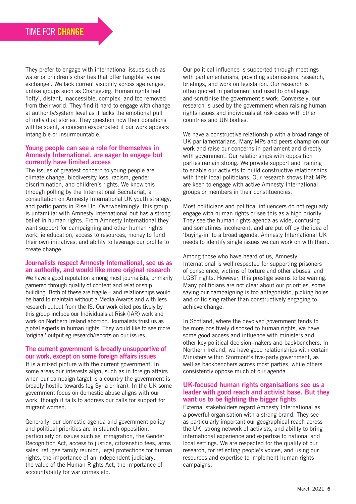They prefer to engage with international issues such as water or children's charities that offer tangible 'value exchange'. We lack current visibility across age ranges, unlike groups such as Change.org. Human rights feel 'lofty', distant, inaccessible, complex, and too removed from their world. They find it hard to engage with change at authority/system level as it lacks the emotional pull of individual stories. They question how their donations will be spent, a concern exacerbated if our work appears intangible or insurmountable.

#### Young people can see a role for themselves in Amnesty International, are eager to engage but currently have limited access

The issues of greatest concern to young people are climate change, biodiversity loss, racism, gender discrimination, and children's rights. We know this through polling by the International Secretariat, a consultation on Amnesty International UK youth strategy, and participants in Rise Up. Overwhelmingly, this group is unfamiliar with Amnesty International but has a strong belief in human rights. From Amnesty International they want support for campaigning and other human rights work, ie education, access to resources, money to fund their own initiatives, and ability to leverage our profile to create change.

#### Journalists respect Amnesty International, see us as an authority, and would like more original research

We have a good reputation among most journalists, primarily garnered through quality of content and relationship building. Both of these are fragile – and relationships would be hard to maintain without a Media Awards and with less research output from the IS. Our work cited positively by this group include our Individuals at Risk (IAR) work and work on Northern Ireland abortion. Journalists trust us as global experts in human rights. They would like to see more 'original' output eg research/reports on our issues.

#### The current government is broadly unsupportive of our work, except on some foreign affairs issues

It is a mixed picture with the current government. In some areas our interests align, such as in foreign affairs when our campaign target is a country the government is broadly hostile towards (eg Syria or Iran). In the UK some government focus on domestic abuse aligns with our work, though it fails to address our calls for support for migrant women.

Generally, our domestic agenda and government policy and political priorities are in staunch opposition, particularly on issues such as immigration, the Gender Recognition Act, access to justice, citizenship fees, arms sales, refugee family reunion, legal protections for human rights, the importance of an independent judiciary, the value of the Human Rights Act, the importance of accountability for war crimes etc.

Our political influence is supported through meetings with parliamentarians, providing submissions, research, briefings, and work on legislation. Our research is often quoted in parliament and used to challenge and scrutinise the government's work. Conversely, our research is used by the government when raising human rights issues and individuals at risk cases with other countries and UN bodies.

We have a constructive relationship with a broad range of UK parliamentarians. Many MPs and peers champion our work and raise our concerns in parliament and directly with government. Our relationships with opposition parties remain strong. We provide support and training to enable our activists to build constructive relationships with their local politicians. Our research shows that MPs are keen to engage with active Amnesty International groups or members in their constituencies.

Most politicians and political influencers do not regularly engage with human rights or see this as a high priority. They see the human rights agenda as wide, confusing and sometimes incoherent, and are put off by the idea of 'buying-in' to a broad agenda. Amnesty International UK needs to identify single issues we can work on with them.

Among those who have heard of us, Amnesty International is well respected for supporting prisoners of conscience, victims of torture and other abuses, and LGBT rights. However, this prestige seems to be waning. Many politicians are not clear about our priorities, some saying our campaigning is too antagonistic, picking holes and criticising rather than constructively engaging to achieve change.

In Scotland, where the devolved government tends to be more positively disposed to human rights, we have some good access and influence with ministers and other key political decision-makers and backbenchers. In Northern Ireland, we have good relationships with certain Ministers within Stormont's five-party government, as well as backbenchers across most parties, while others consistently oppose much of our agenda.

#### UK-focused human rights organisations see us a leader with good reach and activist base. But they want us to be fighting the bigger fights

External stakeholders regard Amnesty International as a powerful organisation with a strong brand. They see as particularly important our geographical reach across the UK, strong network of activists, and ability to bring international experience and expertise to national and local settings. We are respected for the quality of our research, for reflecting people's voices, and using our resources and expertise to implement human rights campaigns.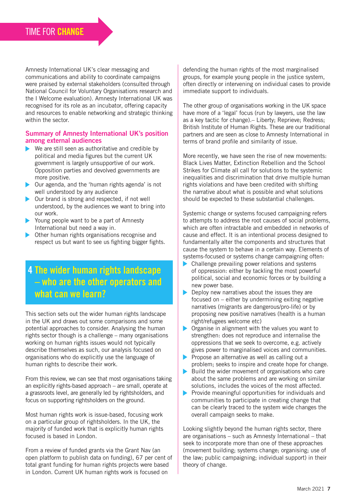Amnesty International UK's clear messaging and communications and ability to coordinate campaigns were praised by external stakeholders (consulted through National Council for Voluntary Organisations research and the I Welcome evaluation). Amnesty International UK was recognised for its role as an incubator, offering capacity and resources to enable networking and strategic thinking within the sector.

#### Summary of Amnesty International UK's position among external audiences

- ▶ We are still seen as authoritative and credible by political and media figures but the current UK government is largely unsupportive of our work. Opposition parties and devolved governments are more positive.
- Our agenda, and the 'human rights agenda' is not well understood by any audience
- ▶ Our brand is strong and respected, if not well understood, by the audiences we want to bring into our work.
- Young people want to be a part of Amnesty International but need a way in.
- Other human rights organisations recognise and respect us but want to see us fighting bigger fights.

# 4 The wider human rights landscape – who are the other operators and what can we learn?

This section sets out the wider human rights landscape in the UK and draws out some comparisons and some potential approaches to consider. Analysing the human rights sector though is a challenge – many organisations working on human rights issues would not typically describe themselves as such, our analysis focused on organisations who do explicitly use the language of human rights to describe their work.

From this review, we can see that most organisations taking an explicitly rights-based approach – are small, operate at a grassroots level, are generally led by rightsholders, and focus on supporting rightsholders on the ground.

Most human rights work is issue-based, focusing work on a particular group of rightsholders. In the UK, the majority of funded work that is explicitly human rights focused is based in London.

From a review of funded grants via the Grant Nav (an open platform to publish data on funding), 67 per cent of total grant funding for human rights projects were based in London. Current UK human rights work is focused on

defending the human rights of the most marginalised groups, for example young people in the justice system, often directly or intervening on individual cases to provide immediate support to individuals.

The other group of organisations working in the UK space have more of a 'legal' focus (run by lawyers, use the law as a key tactic for change).– Liberty; Reprieve; Redress; British Institute of Human Rights. These are our traditional partners and are seen as close to Amnesty International in terms of brand profile and similarity of issue.

More recently, we have seen the rise of new movements: Black Lives Matter, Extinction Rebellion and the School Strikes for Climate all call for solutions to the systemic inequalities and discrimination that drive multiple human rights violations and have been credited with shifting the narrative about what is possible and what solutions should be expected to these substantial challenges.

Systemic change or systems focused campaigning refers to attempts to address the root causes of social problems, which are often intractable and embedded in networks of cause and effect. It is an intentional process designed to fundamentally alter the components and structures that cause the system to behave in a certain way. Elements of systems-focused or systems change campaigning often:

- Challenge prevailing power relations and systems of oppression: either by tackling the most powerful political, social and economic forces or by building a new power base.
- $\blacktriangleright$  Deploy new narratives about the issues they are focused on – either by undermining exiting negative narratives (migrants are dangerous/pro-life) or by proposing new positive narratives (health is a human right/refugees welcome etc)
- **Diamagelerical** Organise in alignment with the values you want to strengthen: does not reproduce and internalise the oppressions that we seek to overcome, e.g. actively gives power to marginalised voices and communities.
- Propose an alternative as well as calling out a problem; seeks to inspire and create hope for change.
- $\blacktriangleright$  Build the wider movement of organisations who care about the same problems and are working on similar solutions, includes the voices of the most affected.
- $\triangleright$  Provide meaningful opportunities for individuals and communities to participate in creating change that can be clearly traced to the system wide changes the overall campaign seeks to make.

Looking slightly beyond the human rights sector, there are organisations – such as Amnesty International – that seek to incorporate more than one of these approaches (movement building; systems change; organising; use of the law; public campaigning; individual support) in their theory of change.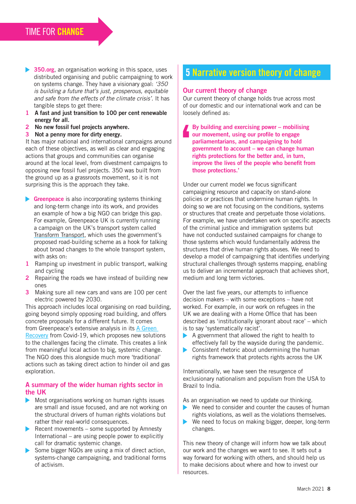- ▶ 350.org, an organisation working in this space, uses distributed organising and public campaigning to work on systems change. They have a visionary goal: *'350 is building a future that's just, prosperous, equitable and safe from the effects of the climate crisis'*. It has tangible steps to get there:
- 1 A fast and just transition to 100 per cent renewable energy for all.
- 2 No new fossil fuel projects anywhere.
- 3 Not a penny more for dirty energy.

It has major national and international campaigns around each of these objectives, as well as clear and engaging actions that groups and communities can organise around at the local level, from divestment campaigns to opposing new fossil fuel projects. 350 was built from the ground up as a grassroots movement, so it is not surprising this is the approach they take.

- Greenpeace is also incorporating systems thinking and long-term change into its work, and provides an example of how a big NGO can bridge this gap. For example, Greenpeace UK is currently running a campaign on the UK's transport system called [Transform Transport,](https://secure.greenpeace.org.uk/page/s/transform-transport?source=WB&subsource=ECCLEMPEWB01LY&utm_campaign=ECCLEMPEWB01LY&utm_medium=WB&utm_source=gpeace&_ga=2.134451953.1017483506.1601283193-1195879628.1599131246) which uses the government's proposed road-building scheme as a hook for talking about broad changes to the whole transport system, with asks on:
- 1 Ramping up investment in public transport, walking and cycling
- 2 Repairing the roads we have instead of building new ones
- 3 Making sure all new cars and vans are 100 per cent electric powered by 2030.

This approach includes local organising on road building, going beyond simply opposing road building, and offers concrete proposals for a different future. It comes from Greenpeace's extensive analysis in its A Green [Recovery](https://www.greenpeace.org.uk/wp-content/uploads/2020/06/A-green-recovery-how-we-get-there-Greenpeace-UK.pdf) from Covid-19, which proposes new solutions to the challenges facing the climate. This creates a link from meaningful local action to big, systemic change. The NGO does this alongside much more 'traditional' actions such as taking direct action to hinder oil and gas exploration.

#### A summary of the wider human rights sector in the UK

- Most organisations working on human rights issues are small and issue focused, and are not working on the structural drivers of human rights violations but rather their real-world consequences.
- Recent movements some supported by Amnesty International – are using people power to explicitly call for dramatic systemic change.
- Some bigger NGOs are using a mix of direct action, systems-change campaigning, and traditional forms of activism.

# 5 Narrative version theory of change

#### Our current theory of change

Our current theory of change holds true across most of our domestic and our international work and can be loosely defined as:

By building and exercising power – mobilising our movement, using our profile to engage parliamentarians, and campaigning to hold government to account – we can change human rights protections for the better and, in turn, improve the lives of the people who benefit from those protections.'

Under our current model we focus significant campaigning resource and capacity on stand-alone policies or practices that undermine human rights. In doing so we are not focusing on the conditions, systems or structures that create and perpetuate those violations. For example, we have undertaken work on specific aspects of the criminal justice and immigration systems but have not conducted sustained campaigns for change to those systems which would fundamentally address the structures that drive human rights abuses. We need to develop a model of campaigning that identifies underlying structural challenges through systems mapping, enabling us to deliver an incremental approach that achieves short, medium and long term victories.

Over the last five years, our attempts to influence decision makers – with some exceptions – have not worked. For example, in our work on refugees in the UK we are dealing with a Home Office that has been described as 'institutionally ignorant about race' – which is to say 'systematically racist'.

- A government that allowed the right to health to effectively fall by the wayside during the pandemic.
- Consistent rhetoric about undermining the human rights framework that protects rights across the UK

Internationally, we have seen the resurgence of exclusionary nationalism and populism from the USA to Brazil to India.

As an organisation we need to update our thinking.

- $\triangleright$  We need to consider and counter the causes of human rights violations, as well as the violations themselves.
- $\blacktriangleright$ We need to focus on making bigger, deeper, long-term changes.

This new theory of change will inform how we talk about our work and the changes we want to see. It sets out a way forward for working with others, and should help us to make decisions about where and how to invest our resources.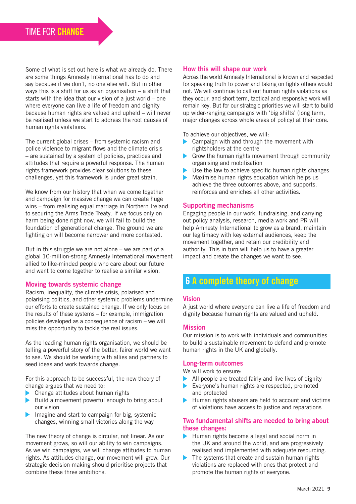Some of what is set out here is what we already do. There are some things Amnesty International has to do and say because if we don't, no one else will. But in other ways this is a shift for us as an organisation – a shift that starts with the idea that our vision of a just world – one where everyone can live a life of freedom and dignity because human rights are valued and upheld – will never be realised unless we start to address the root causes of human rights violations.

The current global crises – from systemic racism and police violence to migrant flows and the climate crisis – are sustained by a system of policies, practices and attitudes that require a powerful response. The human rights framework provides clear solutions to these challenges, yet this framework is under great strain.

We know from our history that when we come together and campaign for massive change we can create huge wins – from realising equal marriage in Northern Ireland to securing the Arms Trade Treaty. If we focus only on harm being done right now, we will fail to build the foundation of generational change. The ground we are fighting on will become narrower and more contested.

But in this struggle we are not alone – we are part of a global 10-million-strong Amnesty International movement allied to like-minded people who care about our future and want to come together to realise a similar vision.

#### Moving towards systemic change

Racism, inequality, the climate crisis, polarised and polarising politics, and other systemic problems undermine our efforts to create sustained change. If we only focus on the results of these systems – for example, immigration policies developed as a consequence of racism – we will miss the opportunity to tackle the real issues.

As the leading human rights organisation, we should be telling a powerful story of the better, fairer world we want to see. We should be working with allies and partners to seed ideas and work towards change.

For this approach to be successful, the new theory of change argues that we need to:

- ▶ Change attitudes about human rights
- $\triangleright$  Build a movement powerful enough to bring about our vision
- $\blacktriangleright$  Imagine and start to campaign for big, systemic changes, winning small victories along the way

The new theory of change is circular, not linear. As our movement grows, so will our ability to win campaigns. As we win campaigns, we will change attitudes to human rights. As attitudes change, our movement will grow. Our strategic decision making should prioritise projects that combine these three ambitions.

#### How this will shape our work

Across the world Amnesty International is known and respected for speaking truth to power and taking on fights others would not. We will continue to call out human rights violations as they occur, and short term, tactical and responsive work will remain key. But for our strategic priorities we will start to build up wider-ranging campaigns with 'big shifts' (long term, major changes across whole areas of policy) at their core.

To achieve our objectives, we will:

- Campaign with and through the movement with rightsholders at the centre
- Grow the human rights movement through community organising and mobilisation
- Use the law to achieve specific human rights changes
- Maximise human rights education which helps us  $\blacktriangleright$ achieve the three outcomes above, and supports, reinforces and enriches all other activities.

#### Supporting mechanisms

Engaging people in our work, fundraising, and carrying out policy analysis, research, media work and PR will help Amnesty International to grow as a brand, maintain our legitimacy with key external audiences, keep the movement together, and retain our credibility and authority. This in turn will help us to have a greater impact and create the changes we want to see.

# 6 A complete theory of change

#### Vision

A just world where everyone can live a life of freedom and dignity because human rights are valued and upheld.

#### **Mission**

Our mission is to work with individuals and communities to build a sustainable movement to defend and promote human rights in the UK and globally.

#### Long-term outcomes

We will work to ensure:

- $\blacktriangleright$  All people are treated fairly and live lives of dignity
- Everyone's human rights are respected, promoted ь and protected
- Human rights abusers are held to account and victims  $\blacktriangleright$ of violations have access to justice and reparations

#### Two fundamental shifts are needed to bring about these changes:

- $\blacktriangleright$  Human rights become a legal and social norm in the UK and around the world, and are progressively realised and implemented with adequate resourcing.
- $\blacktriangleright$  The systems that create and sustain human rights violations are replaced with ones that protect and promote the human rights of everyone.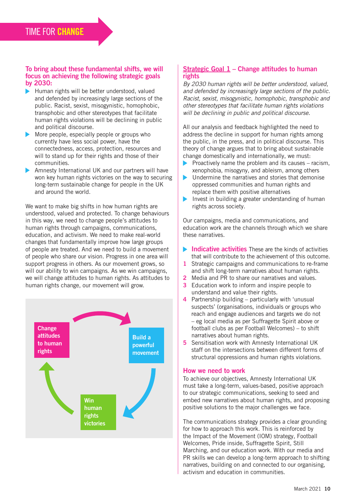#### To bring about these fundamental shifts, we will focus on achieving the following strategic goals by 2030:

- $\blacktriangleright$  Human rights will be better understood, valued and defended by increasingly large sections of the public. Racist, sexist, misogynistic, homophobic, transphobic and other stereotypes that facilitate human rights violations will be declining in public and political discourse.
- More people, especially people or groups who currently have less social power, have the connectedness, access, protection, resources and will to stand up for their rights and those of their communities.
- Amnesty International UK and our partners will have won key human rights victories on the way to securing long-term sustainable change for people in the UK and around the world.

We want to make big shifts in how human rights are understood, valued and protected. To change behaviours in this way, we need to change people's attitudes to human rights through campaigns, communications, education, and activism. We need to make real-world changes that fundamentally improve how large groups of people are treated. And we need to build a movement of people who share our vision. Progress in one area will support progress in others. As our movement grows, so will our ability to win campaigns. As we win campaigns, we will change attitudes to human rights. As attitudes to human rights change, our movement will grow.



#### Strategic Goal 1 – Change attitudes to human rights

*By 2030 human rights will be better understood, valued, and defended by increasingly large sections of the public. Racist, sexist, misogynistic, homophobic, transphobic and other stereotypes that facilitate human rights violations will be declining in public and political discourse.* 

All our analysis and feedback highlighted the need to address the decline in support for human rights among the public, in the press, and in political discourse. This theory of change argues that to bring about sustainable change domestically and internationally, we must:

- $\blacksquare$ Proactively name the problem and its causes – racism, xenophobia, misogyny, and ableism, among others
- **►** Undermine the narratives and stories that demonise oppressed communities and human rights and replace them with positive alternatives
- Invest in building a greater understanding of human rights across society.

Our campaigns, media and communications, and education work are the channels through which we share these narratives.

- $\blacktriangleright$  Indicative activities These are the kinds of activities that will contribute to the achievement of this outcome.
- 1 Strategic campaigns and communications to re-frame and shift long-term narratives about human rights.
- 2 Media and PR to share our narratives and values.
- **3** Education work to inform and inspire people to understand and value their rights.
- 4 Partnership building particularly with 'unusual suspects' (organisations, individuals or groups who reach and engage audiences and targets we do not – eg local media as per Suffragette Spirit above or football clubs as per Football Welcomes) – to shift narratives about human rights.
- **5** Sensitisation work with Amnesty International UK staff on the intersections between different forms of structural oppressions and human rights violations.

#### How we need to work

To achieve our objectives, Amnesty International UK must take a long-term, values-based, positive approach to our strategic communications, seeking to seed and embed new narratives about human rights, and proposing positive solutions to the major challenges we face.

The communications strategy provides a clear grounding for how to approach this work. This is reinforced by the Impact of the Movement (IOM) strategy, Football Welcomes, Pride inside, Suffragette Spirit, Still Marching, and our education work. With our media and PR skills we can develop a long-term approach to shifting narratives, building on and connected to our organising, activism and education in communities.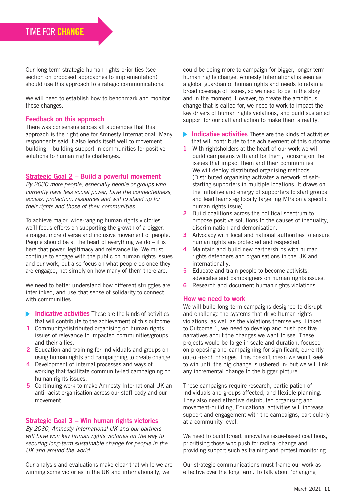Our long-term strategic human rights priorities (see section on proposed approaches to implementation) should use this approach to strategic communications.

We will need to establish how to benchmark and monitor these changes.

#### Feedback on this approach

There was consensus across all audiences that this approach is the right one for Amnesty International. Many respondents said it also lends itself well to movement building – building support in communities for positive solutions to human rights challenges.

#### Strategic Goal 2 – Build a powerful movement

*By 2030 more people, especially people or groups who currently have less social power, have the connectedness, access, protection, resources and will to stand up for their rights and those of their communities.*

To achieve major, wide-ranging human rights victories we'll focus efforts on supporting the growth of a bigger, stronger, more diverse and inclusive movement of people. People should be at the heart of everything we do  $-$  it is here that power, legitimacy and relevance lie. We must continue to engage with the public on human rights issues and our work, but also focus on what people do once they are engaged, not simply on how many of them there are.

We need to better understand how different struggles are interlinked, and use that sense of solidarity to connect with communities.

- $\blacktriangleright$  Indicative activities These are the kinds of activities that will contribute to the achievement of this outcome.
- 1 Community/distributed organising on human rights issues of relevance to impacted communities/groups and their allies.
- 2 Education and training for individuals and groups on using human rights and campaigning to create change.
- 4 Development of internal processes and ways of working that facilitate community-led campaigning on human rights issues.
- 5 Continuing work to make Amnesty International UK an anti-racist organisation across our staff body and our movement.

#### Strategic Goal 3 – Win human rights victories

*By 2030, Amnesty International UK and our partners will have won key human rights victories on the way to securing long-term sustainable change for people in the UK and around the world.* 

Our analysis and evaluations make clear that while we are winning some victories in the UK and internationally, we

could be doing more to campaign for bigger, longer-term human rights change. Amnesty International is seen as a global guardian of human rights and needs to retain a broad coverage of issues, so we need to be in the story and in the moment. However, to create the ambitious change that is called for, we need to work to impact the key drivers of human rights violations, and build sustained support for our call and action to make them a reality.

- $\blacktriangleright$  Indicative activities These are the kinds of activities that will contribute to the achievement of this outcome
- 1 With rightsholders at the heart of our work we will build campaigns with and for them, focusing on the issues that impact them and their communities. We will deploy distributed organising methods. (Distributed organising activates a network of selfstarting supporters in multiple locations. It draws on the initiative and energy of supporters to start groups and lead teams eg locally targeting MPs on a specific human rights issue).
- 2 Build coalitions across the political spectrum to propose positive solutions to the causes of inequality, discrimination and demonisation.
- 3 Advocacy with local and national authorities to ensure human rights are protected and respected.
- 4 Maintain and build new partnerships with human rights defenders and organisations in the UK and internationally.
- **5** Educate and train people to become activists. advocates and campaigners on human rights issues.
- **6** Research and document human rights violations.

#### How we need to work

We will build long-term campaigns designed to disrupt and challenge the systems that drive human rights violations, as well as the violations themselves. Linked to Outcome 1, we need to develop and push positive narratives about the changes we want to see. These projects would be large in scale and duration, focused on proposing and campaigning for significant, currently out-of-reach changes. This doesn't mean we won't seek to win until the big change is ushered in; but we will link any incremental change to the bigger picture.

These campaigns require research, participation of individuals and groups affected, and flexible planning. They also need effective distributed organising and movement-building, Educational activities will increase support and engagement with the campaigns, particularly at a community level.

We need to build broad, innovative issue-based coalitions, prioritising those who push for radical change and providing support such as training and protest monitoring.

Our strategic communications must frame our work as effective over the long term. To talk about 'changing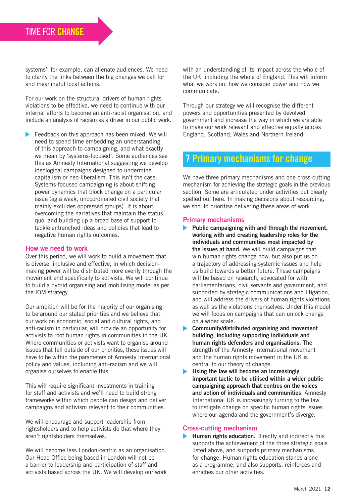systems', for example, can alienate audiences. We need to clarify the links between the big changes we call for and meaningful local actions.

For our work on the structural drivers of human rights violations to be effective, we need to continue with our internal efforts to become an anti-racist organisation, and include an analysis of racism as a driver in our public work.

Feedback on this approach has been mixed. We will need to spend time embedding an understanding of this approach to campaigning, and what exactly we mean by 'systems-focused'. Some audiences see this as Amnesty International suggesting we develop ideological campaigns designed to undermine capitalism or neo-liberalism. This isn't the case. Systems-focused campaigning is about shifting power dynamics that block change on a particular issue (eg a weak, uncoordinated civil society that mainly excludes oppressed groups). It is about overcoming the narratives that maintain the status quo, and building up a broad base of support to tackle entrenched ideas and policies that lead to negative human rights outcomes.

#### How we need to work

Over this period, we will work to build a movement that is diverse, inclusive and effective, in which decisionmaking power will be distributed more evenly through the movement and specifically to activists. We will continue to build a hybrid organising and mobilising model as per the IOM strategy.

Our ambition will be for the majority of our organising to be around our stated priorities and we believe that our work on economic, social and cultural rights, and anti-racism in particular, will provide an opportunity for activists to root human rights in communities in the UK. Where communities or activists want to organise around issues that fall outside of our priorities, these issues will have to be within the parameters of Amnesty International policy and values, including anti-racism and we will organise ourselves to enable this.

This will require significant investments in training for staff and activists and we'll need to build strong frameworks within which people can design and deliver campaigns and activism relevant to their communities.

We will encourage and support leadership from rightsholders and to help activists do that where they aren't rightsholders themselves.

We will become less London-centric as an organisation. Our Head Office being based in London will not be a barrier to leadership and participation of staff and activists based across the UK. We will develop our work with an understanding of its impact across the whole of the UK, including the whole of England. This will inform what we work on, how we consider power and how we communicate.

Through our strategy we will recognise the different powers and opportunities presented by devolved government and increase the way in which we are able to make our work relevant and effective equally across England, Scotland, Wales and Northern Ireland.

# 7 Primary mechanisms for change

We have three primary mechanisms and one cross-cutting mechanism for achieving the strategic goals in the previous section. Some are articulated under activities but clearly spelled out here. In making decisions about resourcing, we should prioritise delivering these areas of work.

#### Primary mechanisms

- $\blacktriangleright$  Public campaigning with and through the movement, working with and creating leadership roles for the individuals and communities most impacted by the issues at hand. We will build campaigns that win human rights change now, but also put us on a trajectory of addressing systemic issues and help us build towards a better future. These campaigns will be based on research, advocated for with parliamentarians, civil servants and government, and supported by strategic communications and litigation, and will address the drivers of human rights violations as well as the violations themselves. Under this model we will focus on campaigns that can unlock change on a wider scale.
- Community/distributed organising and movement building, including supporting individuals and human rights defenders and organisations. The strength of the Amnesty International movement and the human rights movement in the UK is central to our theory of change.
- $\blacktriangleright$ Using the law will become an increasingly important tactic to be utilised within a wider public campaigning approach that centres on the voices and action of individuals and communities. Amnesty International UK is increasingly turning to the law to instigate change on specific human rights issues where our agenda and the government's diverge.

#### Cross-cutting mechanism

 $\blacktriangleright$  Human rights education. Directly and indirectly this supports the achievement of the three strategic goals listed above, and supports primary mechanisms for change. Human rights education stands alone as a programme, and also supports, reinforces and enriches our other activities.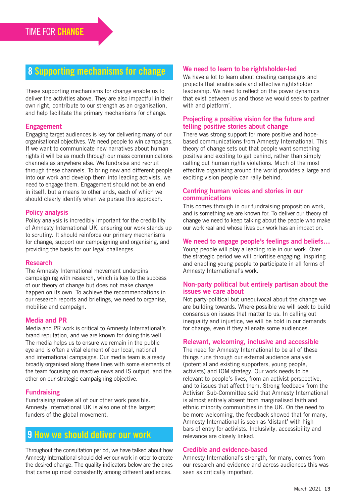# 8 Supporting mechanisms for change

These supporting mechanisms for change enable us to deliver the activities above. They are also impactful in their own right, contribute to our strength as an organisation, and help facilitate the primary mechanisms for change.

#### Engagement

Engaging target audiences is key for delivering many of our organisational objectives. We need people to win campaigns. If we want to communicate new narratives about human rights it will be as much through our mass communications channels as anywhere else. We fundraise and recruit through these channels. To bring new and different people into our work and develop them into leading activists, we need to engage them. Engagement should not be an end in itself, but a means to other ends, each of which we should clearly identify when we pursue this approach.

#### Policy analysis

Policy analysis is incredibly important for the credibility of Amnesty International UK, ensuring our work stands up to scrutiny. It should reinforce our primary mechanisms for change, support our campaigning and organising, and providing the basis for our legal challenges.

#### Research

The Amnesty International movement underpins campaigning with research, which is key to the success of our theory of change but does not make change happen on its own. To achieve the recommendations in our research reports and briefings, we need to organise, mobilise and campaign.

#### Media and PR

Media and PR work is critical to Amnesty International's brand reputation, and we are known for doing this well. The media helps us to ensure we remain in the public eye and is often a vital element of our local, national and international campaigns. Our media team is already broadly organised along these lines with some elements of the team focusing on reactive news and IS output, and the other on our strategic campaigning objective.

#### **Fundraising**

Fundraising makes all of our other work possible. Amnesty International UK is also one of the largest funders of the global movement.

## 9 How we should deliver our work

Throughout the consultation period, we have talked about how Amnesty International should deliver our work in order to create the desired change. The quality indicators below are the ones that came up most consistently among different audiences.

#### We need to learn to be rightsholder-led

We have a lot to learn about creating campaigns and projects that enable safe and effective rightsholder leadership. We need to reflect on the power dynamics that exist between us and those we would seek to partner with and platform'.

#### Projecting a positive vision for the future and telling positive stories about change

There was strong support for more positive and hopebased communications from Amnesty International. This theory of change sets out that people want something positive and exciting to get behind, rather than simply calling out human rights violations. Much of the most effective organising around the world provides a large and exciting vision people can rally behind.

#### Centring human voices and stories in our communications

This comes through in our fundraising proposition work, and is something we are known for. To deliver our theory of change we need to keep talking about the people who make our work real and whose lives our work has an impact on.

#### We need to engage people's feelings and beliefs…

Young people will play a leading role in our work. Over the strategic period we will prioritise engaging, inspiring and enabling young people to participate in all forms of Amnesty International's work.

#### Non-party political but entirely partisan about the issues we care about

Not party-political but unequivocal about the change we are building towards. Where possible we will seek to build consensus on issues that matter to us. In calling out inequality and injustice, we will be bold in our demands for change, even if they alienate some audiences.

#### Relevant, welcoming, inclusive and accessible

The need for Amnesty International to be all of these things runs through our external audience analysis (potential and existing supporters, young people, activists) and IOM strategy. Our work needs to be relevant to people's lives, from an activist perspective, and to issues that affect them. Strong feedback from the Activism Sub-Committee said that Amnesty International is almost entirely absent from marginalised faith and ethnic minority communities in the UK. On the need to be more welcoming, the feedback showed that for many, Amnesty International is seen as 'distant' with high bars of entry for activists. Inclusivity, accessibility and relevance are closely linked.

#### Credible and evidence-based

Amnesty International's strength, for many, comes from our research and evidence and across audiences this was seen as critically important.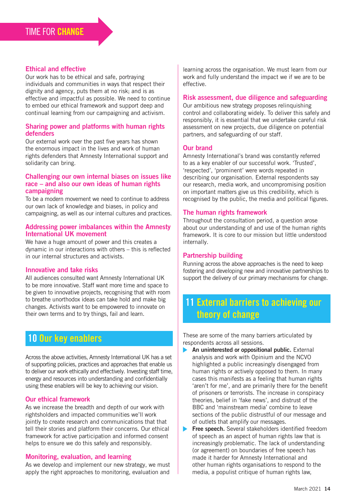#### Ethical and effective

Our work has to be ethical and safe, portraying individuals and communities in ways that respect their dignity and agency, puts them at no risk; and is as effective and impactful as possible. We need to continue to embed our ethical framework and support deep and continual learning from our campaigning and activism.

#### Sharing power and platforms with human rights defenders

Our external work over the past five years has shown the enormous impact in the lives and work of human rights defenders that Amnesty International support and solidarity can bring.

#### Challenging our own internal biases on issues like race – and also our own ideas of human rights campaigning

To be a modern movement we need to continue to address our own lack of knowledge and biases, in policy and campaigning, as well as our internal cultures and practices.

#### Addressing power imbalances within the Amnesty International UK movement

We have a huge amount of power and this creates a dynamic in our interactions with others – this is reflected in our internal structures and activists.

#### Innovative and take risks

All audiences consulted want Amnesty International UK to be more innovative. Staff want more time and space to be given to innovative projects, recognising that with room to breathe unorthodox ideas can take hold and make big changes. Activists want to be empowered to innovate on their own terms and to try things, fail and learn.

# 10 Our key enablers

Across the above activities, Amnesty International UK has a set of supporting policies, practices and approaches that enable us to deliver our work ethically and effectively. Investing staff time, energy and resources into understanding and confidentially using these enablers will be key to achieving our vision.

#### Our ethical framework

As we increase the breadth and depth of our work with rightsholders and impacted communities we'll work jointly to create research and communications that that tell their stories and platform their concerns. Our ethical framework for active participation and informed consent helps to ensure we do this safely and responsibly.

#### Monitoring, evaluation, and learning

As we develop and implement our new strategy, we must apply the right approaches to monitoring, evaluation and

learning across the organisation. We must learn from our work and fully understand the impact we if we are to be effective.

#### Risk assessment, due diligence and safeguarding

Our ambitious new strategy proposes relinquishing control and collaborating widely. To deliver this safely and responsibly, it is essential that we undertake careful risk assessment on new projects, due diligence on potential partners, and safeguarding of our staff.

#### Our brand

Amnesty International's brand was constantly referred to as a key enabler of our successful work. 'Trusted', 'respected', 'prominent' were words repeated in describing our organisation. External respondents say our research, media work, and uncompromising position on important matters give us this credibility, which is recognised by the public, the media and political figures.

#### The human rights framework

Throughout the consultation period, a question arose about our understanding of and use of the human rights framework. It is core to our mission but little understood internally.

#### Partnership building

Running across the above approaches is the need to keep fostering and developing new and innovative partnerships to support the delivery of our primary mechanisms for change.

# 11 External barriers to achieving our theory of change

These are some of the many barriers articulated by respondents across all sessions.

- An uninterested or oppositional public. External analysis and work with Opinium and the NCVO highlighted a public increasingly disengaged from human rights or actively opposed to them. In many cases this manifests as a feeling that human rights 'aren't for me', and are primarily there for the benefit of prisoners or terrorists. The increase in conspiracy theories, belief in 'fake news', and distrust of the BBC and 'mainstream media' combine to leave sections of the public distrustful of our message and of outlets that amplify our messages.
- Free speech. Several stakeholders identified freedom of speech as an aspect of human rights law that is increasingly problematic. The lack of understanding (or agreement) on boundaries of free speech has made it harder for Amnesty International and other human rights organisations to respond to the media, a populist critique of human rights law,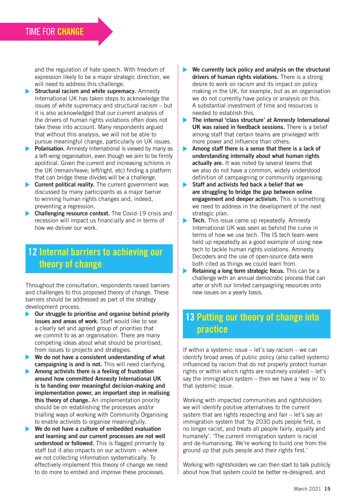and the regulation of hate speech. With freedom of expression likely to be a major strategic direction, we will need to address this challenge.

- $\blacktriangleright$  Structural racism and white supremacy. Amnesty International UK has taken steps to acknowledge the issues of white supremacy and structural racism – but it is also acknowledged that our current analysis of the drivers of human rights violations often does not take these into account. Many respondents argued that without this analysis, we will not be able to pursue meaningful change, particularly on UK issues.
- $\triangleright$  Polarisation. Amnesty International is viewed by many as a left-wing organisation, even though we aim to be firmly apolitical. Given the current and increasing schisms in the UK (remain/leave; left/right, etc) finding a platform that can bridge these divides will be a challenge.
- **Current political reality.** The current government was discussed by many participants as a major barrier to winning human rights changes and, indeed, preventing a regression.
- **Challenging resource context.** The Covid-19 crisis and recession will impact us financially and in terms of how we deliver our work.

# 12 Internal barriers to achieving our theory of change

Throughout the consultation, respondents raised barriers and challenges to this proposed theory of change. These barriers should be addressed as part of the strategy development process.

- $\triangleright$  Our struggle to prioritise and organise behind priority issues and areas of work. Staff would like to see a clearly set and agreed group of priorities that we commit to as an organisation. There are many competing ideas about what should be prioritised, from issues to projects and strategies.
- $\blacktriangleright$  We do not have a consistent understanding of what campaigning is and is not. This will need clarifying.
- $\blacktriangleright$  Among activists there is a feeling of frustration around how committed Amnesty International UK is to handing over meaningful decision-making and implementation power, an important step in realising this theory of change. An implementation priority should be on establishing the processes and/or trialling ways of working with Community Organising to enable activists to organise meaningfully.
- $\blacktriangleright$  We do not have a culture of embedded evaluation and learning and our current processes are not well understood or followed. This is flagged primarily by staff but it also impacts on our activism – where we not collecting information systematically. To effectively implement this theory of change we need to do more to embed and improve these processes.
- We currently lack policy and analysis on the structural drivers of human rights violations. There is a strong desire to work on racism and its impact on policy making in the UK, for example, but as an organisation we do not currently have policy or analysis on this. A substantial investment of time and resources is needed to establish this.
- The internal 'class structure' at Amnesty International UK was raised in feedback sessions. There is a belief among staff that certain teams are privileged with more power and influence than others.
- Among staff there is a sense that there is a lack of understanding internally about what human rights actually are. It was noted by several teams that we also do not have a common, widely understood definition of campaigning or community organising.
- Staff and activists fed back a belief that we are struggling to bridge the gap between online engagement and deeper activism. This is something we need to address in the development of the next strategic plan.
- Tech. This issue came up repeatedly. Amnesty International UK was seen as behind the curve in terms of how we use tech. The IS tech team were held up repeatedly as a good example of using new tech to tackle human rights violations. Amnesty Decoders and the use of open-source data were both cited as things we could learn from.
- $\blacktriangleright$ Retaining a long term strategic focus. This can be a challenge with an annual democratic process that can alter or shift our limited campaigning resources onto new issues on a yearly basis.

# 13 Putting our theory of change into practice

If within a systemic issue – let's say racism – we can identify broad areas of public policy (also called systems) influenced by racism that do not properly protect human rights or within which rights are routinely violated – let's say the immigration system – then we have a 'way in' to that systemic issue.

Working with impacted communities and rightsholders we will identify positive alternatives to the current system that are rights respecting and fair – let's say an immigration system that 'by 2030 puts people first, is no longer racist, and treats all people fairly, equally and humanely'. 'The current immigration system is racist and de-humanising. We're working to build one from the ground up that puts people and their rights first.'

Working with rightsholders we can then start to talk publicly about how that system could be better re-designed, and